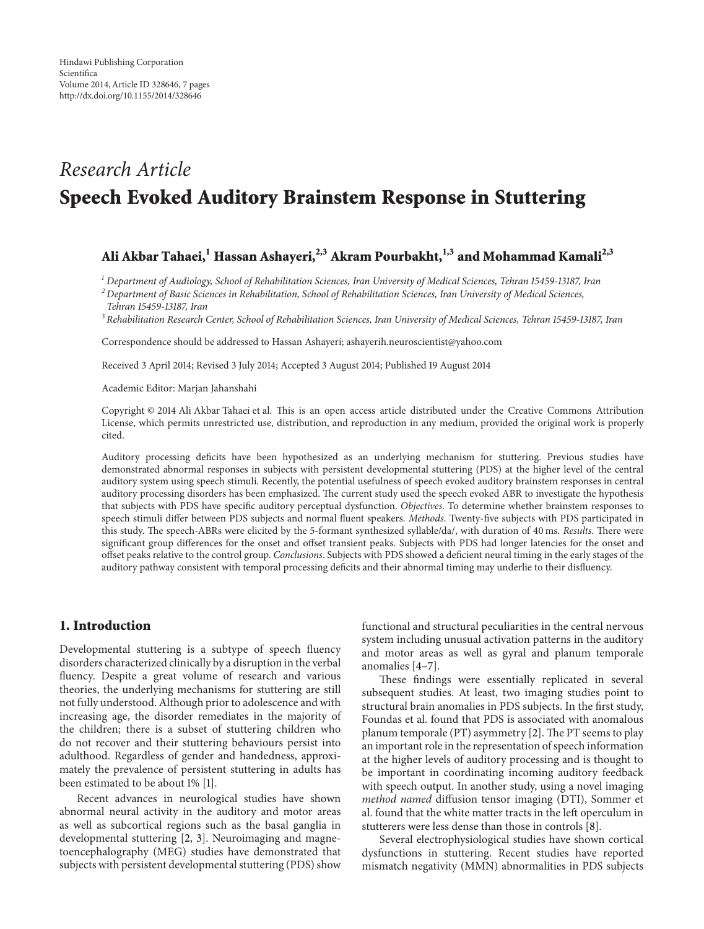# *Research Article* **Speech Evoked Auditory Brainstem Response in Stuttering**

# Ali Akbar Tahaei,<sup>1</sup> Hassan Ashayeri,<sup>2,3</sup> Akram Pourbakht,<sup>1,3</sup> and Mohammad Kamali<sup>2,3</sup>

*<sup>1</sup> Department of Audiology, School of Rehabilitation Sciences, Iran University of Medical Sciences, Tehran 15459-13187, Iran*

*<sup>2</sup> Department of Basic Sciences in Rehabilitation, School of Rehabilitation Sciences, Iran University of Medical Sciences, Tehran 15459-13187, Iran*

*<sup>3</sup> Rehabilitation Research Center, School of Rehabilitation Sciences, Iran University of Medical Sciences, Tehran 15459-13187, Iran*

Correspondence should be addressed to Hassan Ashayeri; ashayerih.neuroscientist@yahoo.com

Received 3 April 2014; Revised 3 July 2014; Accepted 3 August 2014; Published 19 August 2014

Academic Editor: Marjan Jahanshahi

Copyright © 2014 Ali Akbar Tahaei et al. This is an open access article distributed under the Creative Commons Attribution License, which permits unrestricted use, distribution, and reproduction in any medium, provided the original work is properly cited.

Auditory processing deficits have been hypothesized as an underlying mechanism for stuttering. Previous studies have demonstrated abnormal responses in subjects with persistent developmental stuttering (PDS) at the higher level of the central auditory system using speech stimuli. Recently, the potential usefulness of speech evoked auditory brainstem responses in central auditory processing disorders has been emphasized. The current study used the speech evoked ABR to investigate the hypothesis that subjects with PDS have specific auditory perceptual dysfunction. *Objectives*. To determine whether brainstem responses to speech stimuli differ between PDS subjects and normal fluent speakers. *Methods*. Twenty-five subjects with PDS participated in this study. The speech-ABRs were elicited by the 5-formant synthesized syllable/da/, with duration of 40 ms. *Results*. There were significant group differences for the onset and offset transient peaks. Subjects with PDS had longer latencies for the onset and offset peaks relative to the control group. *Conclusions*. Subjects with PDS showed a deficient neural timing in the early stages of the auditory pathway consistent with temporal processing deficits and their abnormal timing may underlie to their disfluency.

# **1. Introduction**

Developmental stuttering is a subtype of speech fluency disorders characterized clinically by a disruption in the verbal fluency. Despite a great volume of research and various theories, the underlying mechanisms for stuttering are still not fully understood. Although prior to adolescence and with increasing age, the disorder remediates in the majority of the children; there is a subset of stuttering children who do not recover and their stuttering behaviours persist into adulthood. Regardless of gender and handedness, approximately the prevalence of persistent stuttering in adults has been estimated to be about 1% [1].

Recent advances in neurological studies have shown abnormal neural activity in the auditory and motor areas as well as subcortical regions such as the basal ganglia in developmental stuttering [2, 3]. Neuroimaging and magnetoencephalography (MEG) studies have demonstrated that subjects with persistent developmental stuttering (PDS) show functional and structural peculiarities in the central nervous system including unusual activation patterns in the auditory and motor areas as well as gyral and planum temporale anomalies [4–7].

These findings were essentially replicated in several subsequent studies. At least, two imaging studies point to structural brain anomalies in PDS subjects. In the first study, Foundas et al. found that PDS is associated with anomalous planum temporale (PT) asymmetry [2]. The PT seems to play an important role in the representation of speech information at the higher levels of auditory processing and is thought to be important in coordinating incoming auditory feedback with speech output. In another study, using a novel imaging *method named* diffusion tensor imaging (DTI), Sommer et al. found that the white matter tracts in the left operculum in stutterers were less dense than those in controls [8].

Several electrophysiological studies have shown cortical dysfunctions in stuttering. Recent studies have reported mismatch negativity (MMN) abnormalities in PDS subjects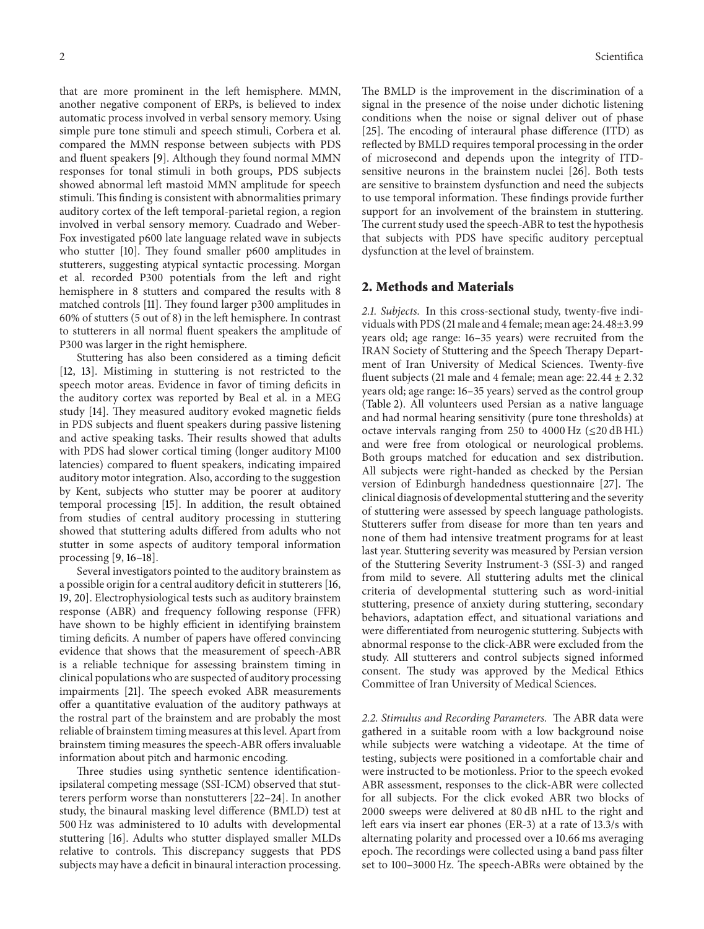that are more prominent in the left hemisphere. MMN, another negative component of ERPs, is believed to index automatic process involved in verbal sensory memory. Using simple pure tone stimuli and speech stimuli, Corbera et al. compared the MMN response between subjects with PDS and fluent speakers [9]. Although they found normal MMN responses for tonal stimuli in both groups, PDS subjects showed abnormal left mastoid MMN amplitude for speech stimuli. This finding is consistent with abnormalities primary auditory cortex of the left temporal-parietal region, a region involved in verbal sensory memory. Cuadrado and Weber-Fox investigated p600 late language related wave in subjects who stutter [10]. They found smaller p600 amplitudes in stutterers, suggesting atypical syntactic processing. Morgan et al. recorded P300 potentials from the left and right hemisphere in 8 stutters and compared the results with 8 matched controls [11]. They found larger p300 amplitudes in 60% of stutters (5 out of 8) in the left hemisphere. In contrast to stutterers in all normal fluent speakers the amplitude of P300 was larger in the right hemisphere.

Stuttering has also been considered as a timing deficit [12, 13]. Mistiming in stuttering is not restricted to the speech motor areas. Evidence in favor of timing deficits in the auditory cortex was reported by Beal et al. in a MEG study [14]. They measured auditory evoked magnetic fields in PDS subjects and fluent speakers during passive listening and active speaking tasks. Their results showed that adults with PDS had slower cortical timing (longer auditory M100 latencies) compared to fluent speakers, indicating impaired auditory motor integration. Also, according to the suggestion by Kent, subjects who stutter may be poorer at auditory temporal processing [15]. In addition, the result obtained from studies of central auditory processing in stuttering showed that stuttering adults differed from adults who not stutter in some aspects of auditory temporal information processing [9, 16–18].

Several investigators pointed to the auditory brainstem as a possible origin for a central auditory deficit in stutterers [16, 19, 20]. Electrophysiological tests such as auditory brainstem response (ABR) and frequency following response (FFR) have shown to be highly efficient in identifying brainstem timing deficits. A number of papers have offered convincing evidence that shows that the measurement of speech-ABR is a reliable technique for assessing brainstem timing in clinical populations who are suspected of auditory processing impairments [21]. The speech evoked ABR measurements offer a quantitative evaluation of the auditory pathways at the rostral part of the brainstem and are probably the most reliable of brainstem timing measures at this level. Apart from brainstem timing measures the speech-ABR offers invaluable information about pitch and harmonic encoding.

Three studies using synthetic sentence identificationipsilateral competing message (SSI-ICM) observed that stutterers perform worse than nonstutterers [22–24]. In another study, the binaural masking level difference (BMLD) test at 500 Hz was administered to 10 adults with developmental stuttering [16]. Adults who stutter displayed smaller MLDs relative to controls. This discrepancy suggests that PDS subjects may have a deficit in binaural interaction processing.

The BMLD is the improvement in the discrimination of a signal in the presence of the noise under dichotic listening conditions when the noise or signal deliver out of phase [25]. The encoding of interaural phase difference (ITD) as reflected by BMLD requires temporal processing in the order of microsecond and depends upon the integrity of ITDsensitive neurons in the brainstem nuclei [26]. Both tests are sensitive to brainstem dysfunction and need the subjects to use temporal information. These findings provide further support for an involvement of the brainstem in stuttering. The current study used the speech-ABR to test the hypothesis that subjects with PDS have specific auditory perceptual dysfunction at the level of brainstem.

#### **2. Methods and Materials**

*2.1. Subjects.* In this cross-sectional study, twenty-five individuals with PDS (21 male and 4 female; mean age: 24.48±3.99 years old; age range: 16–35 years) were recruited from the IRAN Society of Stuttering and the Speech Therapy Department of Iran University of Medical Sciences. Twenty-five fluent subjects (21 male and 4 female; mean age:  $22.44 \pm 2.32$ years old; age range: 16–35 years) served as the control group (Table 2). All volunteers used Persian as a native language and had normal hearing sensitivity (pure tone thresholds) at octave intervals ranging from 250 to 4000 Hz  $(\leq 20$  dB HL) and were free from otological or neurological problems. Both groups matched for education and sex distribution. All subjects were right-handed as checked by the Persian version of Edinburgh handedness questionnaire [27]. The clinical diagnosis of developmental stuttering and the severity of stuttering were assessed by speech language pathologists. Stutterers suffer from disease for more than ten years and none of them had intensive treatment programs for at least last year. Stuttering severity was measured by Persian version of the Stuttering Severity Instrument-3 (SSI-3) and ranged from mild to severe. All stuttering adults met the clinical criteria of developmental stuttering such as word-initial stuttering, presence of anxiety during stuttering, secondary behaviors, adaptation effect, and situational variations and were differentiated from neurogenic stuttering. Subjects with abnormal response to the click-ABR were excluded from the study. All stutterers and control subjects signed informed consent. The study was approved by the Medical Ethics Committee of Iran University of Medical Sciences.

*2.2. Stimulus and Recording Parameters.* The ABR data were gathered in a suitable room with a low background noise while subjects were watching a videotape. At the time of testing, subjects were positioned in a comfortable chair and were instructed to be motionless. Prior to the speech evoked ABR assessment, responses to the click-ABR were collected for all subjects. For the click evoked ABR two blocks of 2000 sweeps were delivered at 80 dB nHL to the right and left ears via insert ear phones (ER-3) at a rate of 13.3/s with alternating polarity and processed over a 10.66 ms averaging epoch. The recordings were collected using a band pass filter set to 100–3000 Hz. The speech-ABRs were obtained by the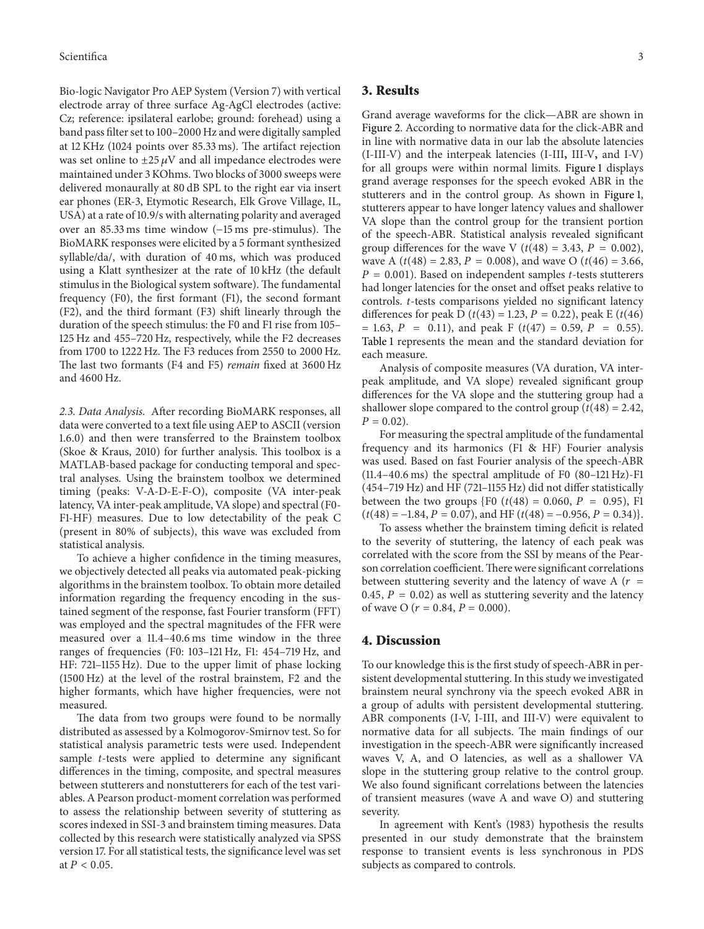Bio-logic Navigator Pro AEP System (Version 7) with vertical electrode array of three surface Ag-AgCl electrodes (active: Cz; reference: ipsilateral earlobe; ground: forehead) using a band pass filter set to 100–2000 Hz and were digitally sampled at 12 KHz (1024 points over 85.33 ms). The artifact rejection was set online to  $\pm 25 \mu V$  and all impedance electrodes were maintained under 3 KOhms. Two blocks of 3000 sweeps were delivered monaurally at 80 dB SPL to the right ear via insert ear phones (ER-3, Etymotic Research, Elk Grove Village, IL, USA) at a rate of 10.9/s with alternating polarity and averaged over an 85.33 ms time window (−15 ms pre-stimulus). The BioMARK responses were elicited by a 5 formant synthesized syllable/da/, with duration of 40 ms, which was produced using a Klatt synthesizer at the rate of 10 kHz (the default stimulus in the Biological system software). The fundamental frequency (F0), the first formant (F1), the second formant (F2), and the third formant (F3) shift linearly through the duration of the speech stimulus: the F0 and F1 rise from 105– 125 Hz and 455–720 Hz, respectively, while the F2 decreases from 1700 to 1222 Hz. The F3 reduces from 2550 to 2000 Hz. The last two formants (F4 and F5) *remain* fixed at 3600 Hz and 4600 Hz.

*2.3. Data Analysis.* After recording BioMARK responses, all data were converted to a text file using AEP to ASCII (version 1.6.0) and then were transferred to the Brainstem toolbox (Skoe & Kraus, 2010) for further analysis. This toolbox is a MATLAB-based package for conducting temporal and spectral analyses. Using the brainstem toolbox we determined timing (peaks: V-A-D-E-F-O), composite (VA inter-peak latency, VA inter-peak amplitude, VA slope) and spectral (F0- F1-HF) measures. Due to low detectability of the peak C (present in 80% of subjects), this wave was excluded from statistical analysis.

To achieve a higher confidence in the timing measures, we objectively detected all peaks via automated peak-picking algorithms in the brainstem toolbox. To obtain more detailed information regarding the frequency encoding in the sustained segment of the response, fast Fourier transform (FFT) was employed and the spectral magnitudes of the FFR were measured over a 11.4–40.6 ms time window in the three ranges of frequencies (F0: 103–121 Hz, F1: 454–719 Hz, and HF: 721–1155 Hz). Due to the upper limit of phase locking (1500 Hz) at the level of the rostral brainstem, F2 and the higher formants, which have higher frequencies, were not measured.

The data from two groups were found to be normally distributed as assessed by a Kolmogorov-Smirnov test. So for statistical analysis parametric tests were used. Independent sample *t*-tests were applied to determine any significant differences in the timing, composite, and spectral measures between stutterers and nonstutterers for each of the test variables. A Pearson product-moment correlation was performed to assess the relationship between severity of stuttering as scores indexed in SSI-3 and brainstem timing measures. Data collected by this research were statistically analyzed via SPSS version 17. For all statistical tests, the significance level was set at  $P < 0.05$ .

#### **3. Results**

Grand average waveforms for the click—ABR are shown in Figure 2. According to normative data for the click-ABR and in line with normative data in our lab the absolute latencies (I-III-V) and the interpeak latencies (I-III**,** III-V**,** and I-V) for all groups were within normal limits. Figure 1 displays grand average responses for the speech evoked ABR in the stutterers and in the control group. As shown in Figure 1, stutterers appear to have longer latency values and shallower VA slope than the control group for the transient portion of the speech-ABR. Statistical analysis revealed significant group differences for the wave V  $(t(48) = 3.43, P = 0.002)$ , wave A ( $t(48) = 2.83$ ,  $P = 0.008$ ), and wave O ( $t(46) = 3.66$ ,  $P = 0.001$ ). Based on independent samples *t*-tests stutterers had longer latencies for the onset and offset peaks relative to controls. *t*-tests comparisons yielded no significant latency differences for peak D ( $t(43) = 1.23$ ,  $P = 0.22$ ), peak E ( $t(46)$ )  $= 1.63$ ,  $P = 0.11$ ), and peak F ( $t(47) = 0.59$ ,  $P = 0.55$ ). Table 1 represents the mean and the standard deviation for each measure.

Analysis of composite measures (VA duration, VA interpeak amplitude, and VA slope) revealed significant group differences for the VA slope and the stuttering group had a shallower slope compared to the control group  $(t(48) = 2.42$ ,  $P = 0.02$ ).

For measuring the spectral amplitude of the fundamental frequency and its harmonics (F1 & HF) Fourier analysis was used. Based on fast Fourier analysis of the speech-ABR (11.4–40.6 ms) the spectral amplitude of F0 (80–121 Hz)-F1 (454–719 Hz) and HF (721–1155 Hz) did not differ statistically between the two groups {F0  $(t(48) = 0.060, P = 0.95)$ , F1  $(t(48) = -1.84, P = 0.07)$ , and HF  $(t(48) = -0.956, P = 0.34)$ .

To assess whether the brainstem timing deficit is related to the severity of stuttering, the latency of each peak was correlated with the score from the SSI by means of the Pearson correlation coefficient.There were significant correlations between stuttering severity and the latency of wave A  $(r =$ 0.45,  $P = 0.02$ ) as well as stuttering severity and the latency of wave O ( $r = 0.84$ ,  $P = 0.000$ ).

#### **4. Discussion**

To our knowledge this is the first study of speech-ABR in persistent developmental stuttering. In this study we investigated brainstem neural synchrony via the speech evoked ABR in a group of adults with persistent developmental stuttering. ABR components (I-V, I-III, and III-V) were equivalent to normative data for all subjects. The main findings of our investigation in the speech-ABR were significantly increased waves V, A, and O latencies, as well as a shallower VA slope in the stuttering group relative to the control group. We also found significant correlations between the latencies of transient measures (wave A and wave O) and stuttering severity.

In agreement with Kent's (1983) hypothesis the results presented in our study demonstrate that the brainstem response to transient events is less synchronous in PDS subjects as compared to controls.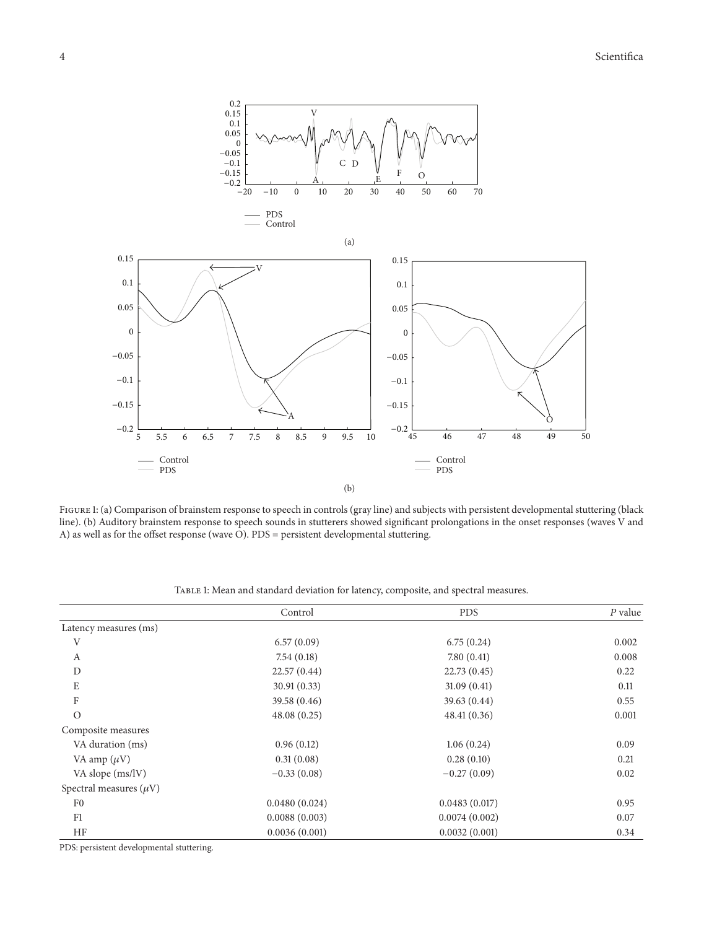

Figure 1: (a) Comparison of brainstem response to speech in controls (gray line) and subjects with persistent developmental stuttering (black line). (b) Auditory brainstem response to speech sounds in stutterers showed significant prolongations in the onset responses (waves V and A) as well as for the offset response (wave O). PDS = persistent developmental stuttering.

|                             | Control       | <b>PDS</b>    | $P$ value |
|-----------------------------|---------------|---------------|-----------|
| Latency measures (ms)       |               |               |           |
| $\rm V$                     | 6.57(0.09)    | 6.75(0.24)    | 0.002     |
| A                           | 7.54(0.18)    | 7.80(0.41)    | 0.008     |
| $\mathbf D$                 | 22.57(0.44)   | 22.73(0.45)   | 0.22      |
| E                           | 30.91(0.33)   | 31.09(0.41)   | 0.11      |
| F                           | 39.58(0.46)   | 39.63(0.44)   | 0.55      |
| $\mathcal{O}$               | 48.08(0.25)   | 48.41(0.36)   | 0.001     |
| Composite measures          |               |               |           |
| VA duration (ms)            | 0.96(0.12)    | 1.06(0.24)    | 0.09      |
| VA amp $(\mu V)$            | 0.31(0.08)    | 0.28(0.10)    | 0.21      |
| VA slope (ms/lV)            | $-0.33(0.08)$ | $-0.27(0.09)$ | 0.02      |
| Spectral measures $(\mu V)$ |               |               |           |
| F0                          | 0.0480(0.024) | 0.0483(0.017) | 0.95      |
| F1                          | 0.0088(0.003) | 0.0074(0.002) | 0.07      |
| HF                          | 0.0036(0.001) | 0.0032(0.001) | 0.34      |

Table 1: Mean and standard deviation for latency, composite, and spectral measures.

PDS: persistent developmental stuttering.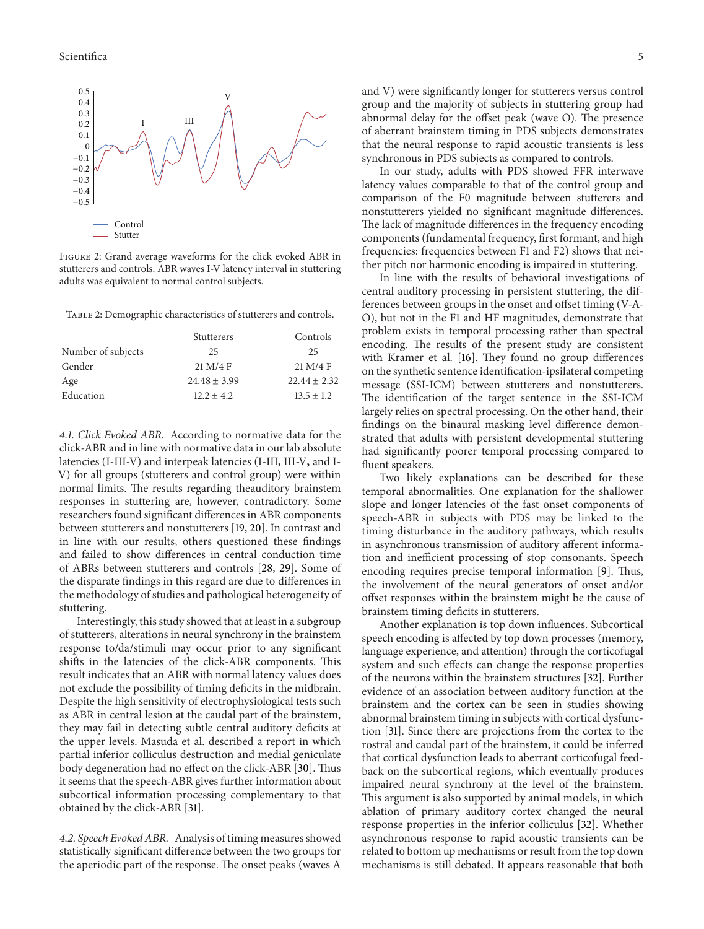Scientifica **5** 



Figure 2: Grand average waveforms for the click evoked ABR in stutterers and controls. ABR waves I-V latency interval in stuttering adults was equivalent to normal control subjects.

Table 2: Demographic characteristics of stutterers and controls.

|                    | <b>Stutterers</b> | Controls       |
|--------------------|-------------------|----------------|
| Number of subjects | 25                | 25             |
| Gender             | 21 M/4 F          | 21 M/4 F       |
| Age                | $24.48 \pm 3.99$  | $22.44 + 2.32$ |
| Education          | $12.2 + 4.2$      | $13.5 + 1.2$   |

*4.1. Click Evoked ABR.* According to normative data for the click-ABR and in line with normative data in our lab absolute latencies (I-III-V) and interpeak latencies (I-III**,** III-V**,** and I-V) for all groups (stutterers and control group) were within normal limits. The results regarding theauditory brainstem responses in stuttering are, however, contradictory. Some researchers found significant differences in ABR components between stutterers and nonstutterers [19, 20]. In contrast and in line with our results, others questioned these findings and failed to show differences in central conduction time of ABRs between stutterers and controls [28, 29]. Some of the disparate findings in this regard are due to differences in the methodology of studies and pathological heterogeneity of stuttering.

Interestingly, this study showed that at least in a subgroup of stutterers, alterations in neural synchrony in the brainstem response to/da/stimuli may occur prior to any significant shifts in the latencies of the click-ABR components. This result indicates that an ABR with normal latency values does not exclude the possibility of timing deficits in the midbrain. Despite the high sensitivity of electrophysiological tests such as ABR in central lesion at the caudal part of the brainstem, they may fail in detecting subtle central auditory deficits at the upper levels. Masuda et al. described a report in which partial inferior colliculus destruction and medial geniculate body degeneration had no effect on the click-ABR [30]. Thus it seems that the speech-ABR gives further information about subcortical information processing complementary to that obtained by the click-ABR [31].

*4.2. Speech Evoked ABR.* Analysis of timing measures showed statistically significant difference between the two groups for the aperiodic part of the response. The onset peaks (waves A and V) were significantly longer for stutterers versus control group and the majority of subjects in stuttering group had abnormal delay for the offset peak (wave O). The presence of aberrant brainstem timing in PDS subjects demonstrates that the neural response to rapid acoustic transients is less synchronous in PDS subjects as compared to controls.

In our study, adults with PDS showed FFR interwave latency values comparable to that of the control group and comparison of the F0 magnitude between stutterers and nonstutterers yielded no significant magnitude differences. The lack of magnitude differences in the frequency encoding components (fundamental frequency, first formant, and high frequencies: frequencies between F1 and F2) shows that neither pitch nor harmonic encoding is impaired in stuttering.

In line with the results of behavioral investigations of central auditory processing in persistent stuttering, the differences between groups in the onset and offset timing (V-A-O), but not in the F1 and HF magnitudes, demonstrate that problem exists in temporal processing rather than spectral encoding. The results of the present study are consistent with Kramer et al. [16]. They found no group differences on the synthetic sentence identification-ipsilateral competing message (SSI-ICM) between stutterers and nonstutterers. The identification of the target sentence in the SSI-ICM largely relies on spectral processing. On the other hand, their findings on the binaural masking level difference demonstrated that adults with persistent developmental stuttering had significantly poorer temporal processing compared to fluent speakers.

Two likely explanations can be described for these temporal abnormalities. One explanation for the shallower slope and longer latencies of the fast onset components of speech-ABR in subjects with PDS may be linked to the timing disturbance in the auditory pathways, which results in asynchronous transmission of auditory afferent information and inefficient processing of stop consonants. Speech encoding requires precise temporal information [9]. Thus, the involvement of the neural generators of onset and**/**or offset responses within the brainstem might be the cause of brainstem timing deficits in stutterers.

Another explanation is top down influences. Subcortical speech encoding is affected by top down processes (memory, language experience, and attention) through the corticofugal system and such effects can change the response properties of the neurons within the brainstem structures [32]. Further evidence of an association between auditory function at the brainstem and the cortex can be seen in studies showing abnormal brainstem timing in subjects with cortical dysfunction [31]. Since there are projections from the cortex to the rostral and caudal part of the brainstem, it could be inferred that cortical dysfunction leads to aberrant corticofugal feedback on the subcortical regions, which eventually produces impaired neural synchrony at the level of the brainstem. This argument is also supported by animal models, in which ablation of primary auditory cortex changed the neural response properties in the inferior colliculus [32]. Whether asynchronous response to rapid acoustic transients can be related to bottom up mechanisms or result from the top down mechanisms is still debated. It appears reasonable that both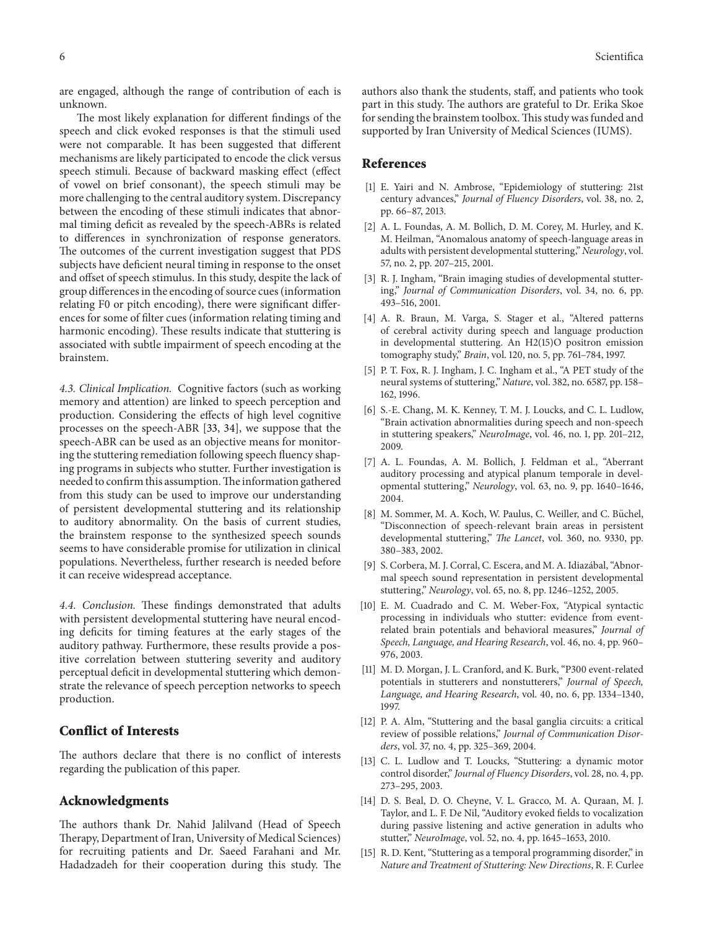are engaged, although the range of contribution of each is unknown.

The most likely explanation for different findings of the speech and click evoked responses is that the stimuli used were not comparable. It has been suggested that different mechanisms are likely participated to encode the click versus speech stimuli. Because of backward masking effect (effect of vowel on brief consonant), the speech stimuli may be more challenging to the central auditory system. Discrepancy between the encoding of these stimuli indicates that abnormal timing deficit as revealed by the speech-ABRs is related to differences in synchronization of response generators. The outcomes of the current investigation suggest that PDS subjects have deficient neural timing in response to the onset and offset of speech stimulus. In this study, despite the lack of group differences in the encoding of source cues (information relating F0 or pitch encoding), there were significant differences for some of filter cues (information relating timing and harmonic encoding). These results indicate that stuttering is associated with subtle impairment of speech encoding at the brainstem.

*4.3. Clinical Implication.* Cognitive factors (such as working memory and attention) are linked to speech perception and production. Considering the effects of high level cognitive processes on the speech-ABR [33, 34], we suppose that the speech-ABR can be used as an objective means for monitoring the stuttering remediation following speech fluency shaping programs in subjects who stutter. Further investigation is needed to confirm this assumption. The information gathered from this study can be used to improve our understanding of persistent developmental stuttering and its relationship to auditory abnormality. On the basis of current studies, the brainstem response to the synthesized speech sounds seems to have considerable promise for utilization in clinical populations. Nevertheless, further research is needed before it can receive widespread acceptance.

*4.4. Conclusion.* These findings demonstrated that adults with persistent developmental stuttering have neural encoding deficits for timing features at the early stages of the auditory pathway. Furthermore, these results provide a positive correlation between stuttering severity and auditory perceptual deficit in developmental stuttering which demonstrate the relevance of speech perception networks to speech production.

## **Conflict of Interests**

The authors declare that there is no conflict of interests regarding the publication of this paper.

# **Acknowledgments**

The authors thank Dr. Nahid Jalilvand (Head of Speech Therapy, Department of Iran, University of Medical Sciences) for recruiting patients and Dr. Saeed Farahani and Mr. Hadadzadeh for their cooperation during this study. The

authors also thank the students, staff, and patients who took part in this study. The authors are grateful to Dr. Erika Skoe for sending the brainstem toolbox.This study was funded and supported by Iran University of Medical Sciences (IUMS).

## **References**

- [1] E. Yairi and N. Ambrose, "Epidemiology of stuttering: 21st century advances," *Journal of Fluency Disorders*, vol. 38, no. 2, pp. 66–87, 2013.
- [2] A. L. Foundas, A. M. Bollich, D. M. Corey, M. Hurley, and K. M. Heilman, "Anomalous anatomy of speech-language areas in adults with persistent developmental stuttering," *Neurology*, vol. 57, no. 2, pp. 207–215, 2001.
- [3] R. J. Ingham, "Brain imaging studies of developmental stuttering," *Journal of Communication Disorders*, vol. 34, no. 6, pp. 493–516, 2001.
- [4] A. R. Braun, M. Varga, S. Stager et al., "Altered patterns of cerebral activity during speech and language production in developmental stuttering. An H2(15)O positron emission tomography study," *Brain*, vol. 120, no. 5, pp. 761–784, 1997.
- [5] P. T. Fox, R. J. Ingham, J. C. Ingham et al., "A PET study of the neural systems of stuttering," *Nature*, vol. 382, no. 6587, pp. 158– 162, 1996.
- [6] S.-E. Chang, M. K. Kenney, T. M. J. Loucks, and C. L. Ludlow, "Brain activation abnormalities during speech and non-speech in stuttering speakers," *NeuroImage*, vol. 46, no. 1, pp. 201–212, 2009.
- [7] A. L. Foundas, A. M. Bollich, J. Feldman et al., "Aberrant auditory processing and atypical planum temporale in developmental stuttering," *Neurology*, vol. 63, no. 9, pp. 1640–1646, 2004.
- [8] M. Sommer, M. A. Koch, W. Paulus, C. Weiller, and C. Büchel, "Disconnection of speech-relevant brain areas in persistent developmental stuttering," *The Lancet*, vol. 360, no. 9330, pp. 380–383, 2002.
- [9] S. Corbera, M. J. Corral, C. Escera, and M. A. Idiazábal, "Abnormal speech sound representation in persistent developmental stuttering," *Neurology*, vol. 65, no. 8, pp. 1246–1252, 2005.
- [10] E. M. Cuadrado and C. M. Weber-Fox, "Atypical syntactic processing in individuals who stutter: evidence from eventrelated brain potentials and behavioral measures," *Journal of Speech, Language, and Hearing Research*, vol. 46, no. 4, pp. 960– 976, 2003.
- [11] M. D. Morgan, J. L. Cranford, and K. Burk, "P300 event-related potentials in stutterers and nonstutterers," *Journal of Speech, Language, and Hearing Research*, vol. 40, no. 6, pp. 1334–1340, 1997.
- [12] P. A. Alm, "Stuttering and the basal ganglia circuits: a critical review of possible relations," *Journal of Communication Disorders*, vol. 37, no. 4, pp. 325–369, 2004.
- [13] C. L. Ludlow and T. Loucks, "Stuttering: a dynamic motor control disorder," *Journal of Fluency Disorders*, vol. 28, no. 4, pp. 273–295, 2003.
- [14] D. S. Beal, D. O. Cheyne, V. L. Gracco, M. A. Quraan, M. J. Taylor, and L. F. De Nil, "Auditory evoked fields to vocalization during passive listening and active generation in adults who stutter," *NeuroImage*, vol. 52, no. 4, pp. 1645–1653, 2010.
- [15] R. D. Kent, "Stuttering as a temporal programming disorder," in *Nature and Treatment of Stuttering: New Directions*, R. F. Curlee